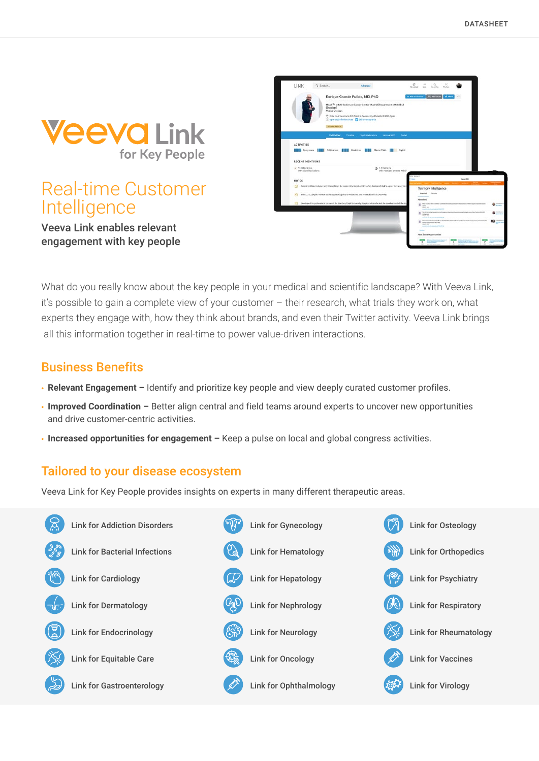

# Real-time Customer **Intelligence**

Veeva Link enables relevant engagement with key people

|                               | Enrique Grande Pulido, MD, PhD                                                                                          | <b>R. Add to Terreton</b> | <b>Par Addition</b>                                                                                                 | 128              |                          |
|-------------------------------|-------------------------------------------------------------------------------------------------------------------------|---------------------------|---------------------------------------------------------------------------------------------------------------------|------------------|--------------------------|
| Oncology?<br>Medical Dropkers | Head <sup>%</sup> at MD Anderson Cancer Center Madrid [Department of Medical                                            |                           |                                                                                                                     |                  |                          |
|                               | C Calle de Artiano Soria, 270, Modrid, Community of Modrid, 28030, Spoin.                                               |                           |                                                                                                                     |                  |                          |
|                               | St spanistics Andersinus D Bahamougrands                                                                                |                           |                                                                                                                     |                  |                          |
| GLOBAL REACH                  |                                                                                                                         |                           |                                                                                                                     |                  |                          |
|                               |                                                                                                                         |                           |                                                                                                                     |                  |                          |
| <b>CVERVIEW</b>               | Top Collaborators<br>Tender<br>traving him.                                                                             | Social                    |                                                                                                                     |                  |                          |
|                               |                                                                                                                         |                           |                                                                                                                     |                  |                          |
| <b>ACTIVITIES</b>             |                                                                                                                         |                           |                                                                                                                     |                  |                          |
|                               | <b>THE Corposes Hall Adication Hall Colding Hills Clear Full Digital</b>                                                |                           |                                                                                                                     |                  |                          |
|                               |                                                                                                                         |                           |                                                                                                                     |                  |                          |
| <b>RECENT MENTIONS</b>        |                                                                                                                         |                           |                                                                                                                     |                  |                          |
|                               |                                                                                                                         |                           |                                                                                                                     |                  |                          |
| a STARGEON                    |                                                                                                                         |                           |                                                                                                                     |                  |                          |
| with scientific citations.    | 2 1 Publication<br>with martians an news reduit                                                                         |                           |                                                                                                                     |                  |                          |
|                               |                                                                                                                         |                           |                                                                                                                     |                  |                          |
| <b>NOTES</b>                  |                                                                                                                         |                           |                                                                                                                     | <b>Hans Film</b> |                          |
| 89                            | Considered Bisines doncy and fistiowship at the University Hospital Clinica San Cartissis Madrid, under the supervision |                           | Territory Intelligence                                                                                              |                  |                          |
|                               |                                                                                                                         |                           | Monthead Convenier                                                                                                  |                  |                          |
| 33                            | Since 2010; Export Advisor to the Sponish Agency of Madisines and Medical Devices (ASMRR)                               |                           | ____                                                                                                                |                  |                          |
|                               | [4] Developed his professional coreer at the Rambey Cajal University Hospital, where he led the covaligament of the Ex  |                           | Newsteed                                                                                                            |                  |                          |
|                               |                                                                                                                         |                           | E The ball of Millioner Lemma<br>Mark AVI<br><b>STATISTICS</b>                                                      |                  |                          |
|                               |                                                                                                                         | $\blacksquare$            | The Miller and Agriculture for<br><b>STATISTICS</b>                                                                 |                  | <b>NATIONAL PROPERTY</b> |
|                               |                                                                                                                         |                           | man and<br>---                                                                                                      |                  |                          |
|                               |                                                                                                                         |                           | <b>B</b> Income operations that the<br>art-sundamente dul line<br>March 2001                                        |                  |                          |
|                               |                                                                                                                         |                           | <b>WEIGHT AND</b><br>$\frac{1}{2} \left( \frac{1}{2} \right) \left( \frac{1}{2} \right) \left( \frac{1}{2} \right)$ |                  |                          |

What do you really know about the key people in your medical and scientific landscape? With Veeva Link, it's possible to gain a complete view of your customer – their research, what trials they work on, what experts they engage with, how they think about brands, and even their Twitter activity. Veeva Link brings all this information together in real-time to power value-driven interactions.

### Business Benefits

- **Relevant Engagement –** Identify and prioritize key people and view deeply curated customer profiles.
- **Improved Coordination** Better align central and field teams around experts to uncover new opportunities and drive customer-centric activities.
- **Increased opportunities for engagement** Keep a pulse on local and global congress activities.

### Tailored to your disease ecosystem

Veeva Link for Key People provides insights on experts in many different therapeutic areas.